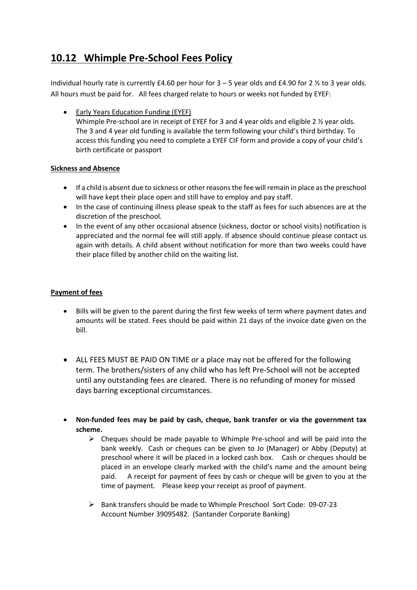# **10.12 Whimple Pre-School Fees Policy**

Individual hourly rate is currently £4.60 per hour for  $3 - 5$  year olds and £4.90 for 2  $\frac{1}{2}$  to 3 year olds. All hours must be paid for. All fees charged relate to hours or weeks not funded by EYEF:

• Early Years Education Funding (EYEF) Whimple Pre-school are in receipt of EYEF for 3 and 4 year olds and eligible 2  $\frac{1}{2}$  year olds. The 3 and 4 year old funding is available the term following your child's third birthday. To access this funding you need to complete a EYEF CIF form and provide a copy of your child's birth certificate or passport

## **Sickness and Absence**

- If a child is absent due to sickness or other reasons the fee will remain in place as the preschool will have kept their place open and still have to employ and pay staff.
- In the case of continuing illness please speak to the staff as fees for such absences are at the discretion of the preschool.
- In the event of any other occasional absence (sickness, doctor or school visits) notification is appreciated and the normal fee will still apply. If absence should continue please contact us again with details. A child absent without notification for more than two weeks could have their place filled by another child on the waiting list.

# **Payment of fees**

- Bills will be given to the parent during the first few weeks of term where payment dates and amounts will be stated. Fees should be paid within 21 days of the invoice date given on the bill.
- ALL FEES MUST BE PAID ON TIME or a place may not be offered for the following term. The brothers/sisters of any child who has left Pre-School will not be accepted until any outstanding fees are cleared. There is no refunding of money for missed days barring exceptional circumstances.
- **Non-funded fees may be paid by cash, cheque, bank transfer or via the government tax scheme.** 
	- $\triangleright$  Cheques should be made payable to Whimple Pre-school and will be paid into the bank weekly. Cash or cheques can be given to Jo (Manager) or Abby (Deputy) at preschool where it will be placed in a locked cash box. Cash or cheques should be placed in an envelope clearly marked with the child's name and the amount being paid. A receipt for payment of fees by cash or cheque will be given to you at the time of payment. Please keep your receipt as proof of payment.
	- Ø Bank transfers should be made to Whimple Preschool Sort Code: 09-07-23 Account Number 39095482. (Santander Corporate Banking)